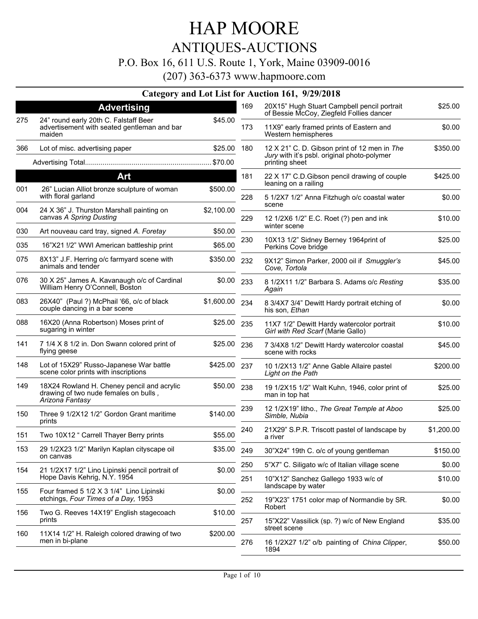### ANTIQUES-AUCTIONS

### P.O. Box 16, 611 U.S. Route 1, York, Maine 03909-0016

|     |                                                                                                        |              |     | Category and Lot List for Auction 161, 9/29/2018                                        |            |
|-----|--------------------------------------------------------------------------------------------------------|--------------|-----|-----------------------------------------------------------------------------------------|------------|
|     | <b>Advertising</b>                                                                                     |              | 169 | 20X15" Hugh Stuart Campbell pencil portrait<br>of Bessie McCoy, Ziegfeld Follies dancer | \$25.00    |
| 275 | 24" round early 20th C. Falstaff Beer<br>advertisement with seated gentleman and bar<br>maiden         | \$45.00      | 173 | 11X9" early framed prints of Eastern and<br>Western hemispheres                         | \$0.00     |
| 366 | Lot of misc. advertising paper                                                                         | \$25.00      | 180 | 12 X 21" C. D. Gibson print of 12 men in The                                            | \$350.00   |
|     |                                                                                                        |              |     | Jury with it's psbl. original photo-polymer<br>printing sheet                           |            |
|     | Art                                                                                                    |              | 181 | 22 X 17" C.D. Gibson pencil drawing of couple                                           | \$425.00   |
| 001 | 26" Lucian Alliot bronze sculpture of woman<br>with floral garland                                     | \$500.00     | 228 | leaning on a railing<br>5 1/2X7 1/2" Anna Fitzhugh o/c coastal water                    | \$0.00     |
| 004 | 24 X 36" J. Thurston Marshall painting on<br>canvas A Spring Dusting                                   | \$2,100.00   | 229 | scene<br>12 1/2X6 1/2" E.C. Roet (?) pen and ink                                        | \$10.00    |
| 030 | Art nouveau card tray, signed A. Foretay                                                               | \$50.00      |     | winter scene                                                                            |            |
| 035 | 16"X21 !/2" WWI American battleship print                                                              | \$65.00      | 230 | 10X13 1/2" Sidney Berney 1964print of<br>Perkins Cove bridge                            | \$25.00    |
| 075 | 8X13" J.F. Herring o/c farmyard scene with<br>animals and tender                                       | \$350.00     | 232 | 9X12" Simon Parker, 2000 oil if Smuggler's<br>Cove, Tortola                             | \$45.00    |
| 076 | 30 X 25" James A. Kavanaugh o/c of Cardinal<br>William Henry O'Connell, Boston                         | \$0.00 233   |     | 8 1/2X11 1/2" Barbara S. Adams o/c Resting<br>Again                                     | \$35.00    |
| 083 | 26X40" (Paul ?) McPhail '66, o/c of black<br>couple dancing in a bar scene                             | \$1,600.00   | 234 | 8 3/4X7 3/4" Dewitt Hardy portrait etching of<br>his son, <i>Ethan</i>                  | \$0.00     |
| 088 | 16X20 (Anna Robertson) Moses print of<br>sugaring in winter                                            | \$25.00      | 235 | 11X7 1/2" Dewitt Hardy watercolor portrait<br>Girl with Red Scarf (Marie Gallo)         | \$10.00    |
| 141 | 7 1/4 X 8 1/2 in. Don Swann colored print of<br>flying geese                                           | \$25.00      | 236 | 7 3/4X8 1/2" Dewitt Hardy watercolor coastal<br>scene with rocks                        | \$45.00    |
| 148 | Lot of 15X29" Russo-Japanese War battle<br>scene color prints with inscriptions                        | \$425.00 237 |     | 10 1/2X13 1/2" Anne Gable Allaire pastel<br>Light on the Path                           | \$200.00   |
| 149 | 18X24 Rowland H. Cheney pencil and acrylic<br>drawing of two nude females on bulls,<br>Arizona Fantasy | \$50.00      | 238 | 19 1/2X15 1/2" Walt Kuhn, 1946, color print of<br>man in top hat                        | \$25.00    |
| 150 | Three 9 1/2X12 1/2" Gordon Grant maritime<br>prints                                                    | \$140.00     | 239 | 12 1/2X19" litho., The Great Temple at Aboo<br>Simble, Nubia                            | \$25.00    |
| 151 | Two 10X12 " Carrell Thayer Berry prints                                                                | \$55.00      | 240 | 21X29" S.P.R. Triscott pastel of landscape by<br>a river                                | \$1,200.00 |
| 153 | 29 1/2X23 1/2" Marilyn Kaplan cityscape oil<br>on canvas                                               | \$35.00      | 249 | 30"X24" 19th C. o/c of young gentleman                                                  | \$150.00   |
| 154 | 21 1/2X17 1/2" Lino Lipinski pencil portrait of                                                        | \$0.00       | 250 | 5"X7" C. Siligato w/c of Italian village scene                                          | \$0.00     |
|     | Hope Davis Kehrig, N.Y. 1954                                                                           |              | 251 | 10"X12" Sanchez Gallego 1933 w/c of<br>landscape by water                               | \$10.00    |
| 155 | Four framed 5 1/2 X 3 1/4" Lino Lipinski<br>etchings, Four Times of a Day, 1953                        | \$0.00       | 252 | 19"X23" 1751 color map of Normandie by SR.                                              | \$0.00     |
| 156 | Two G. Reeves 14X19" English stagecoach                                                                | \$10.00      |     | Robert                                                                                  |            |
| 160 | prints<br>11X14 1/2" H. Raleigh colored drawing of two                                                 | \$200.00     | 257 | 15"X22" Vassilick (sp. ?) w/c of New England<br>street scene                            | \$35.00    |
|     | men in bi-plane                                                                                        |              | 276 | 16 1/2X27 1/2" o/b painting of China Clipper,<br>1894                                   | \$50.00    |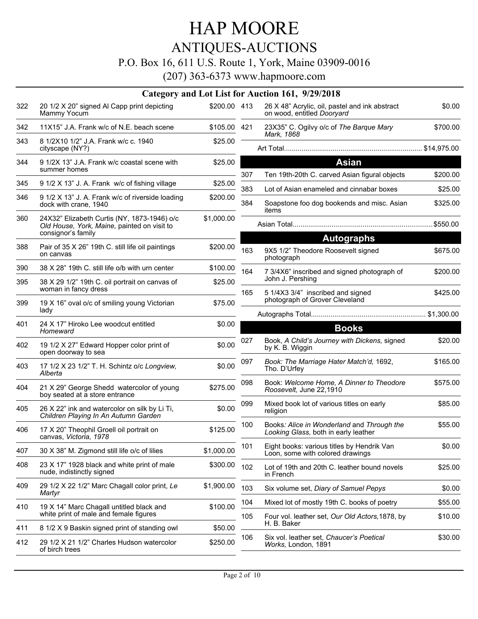### ANTIQUES-AUCTIONS

### P.O. Box 16, 611 U.S. Route 1, York, Maine 03909-0016

(207) 363-6373 www.hapmoore.com

|     |                                                                                                                  |              |            | Category and Lot List for Auction 161, 9/29/2018                                       |                     |
|-----|------------------------------------------------------------------------------------------------------------------|--------------|------------|----------------------------------------------------------------------------------------|---------------------|
| 322 | 20 1/2 X 20" signed AI Capp print depicting<br>Mammy Yocum                                                       | \$200.00 413 |            | 26 X 48" Acrylic, oil, pastel and ink abstract<br>on wood, entitled Dooryard           | \$0.00              |
| 342 | 11X15" J.A. Frank w/c of N.E. beach scene                                                                        | \$105.00 421 |            | 23X35" C. Ogilvy o/c of The Barque Mary<br>Mark. 1868                                  | \$700.00            |
| 343 | 8 1/2X10 1/2" J.A. Frank w/c c. 1940<br>cityscape (NY?)                                                          | \$25.00      |            |                                                                                        |                     |
| 344 | 9 1/2X 13" J.A. Frank w/c coastal scene with<br>summer homes                                                     | \$25.00      |            | <b>Asian</b>                                                                           |                     |
| 345 | 9 1/2 X 13" J. A. Frank w/c of fishing village                                                                   | \$25.00      | 307        | Ten 19th-20th C. carved Asian figural objects                                          | \$200.00            |
| 346 | 9 1/2 X 13" J. A. Frank w/c of riverside loading<br>dock with crane, 1940                                        | \$200.00     | 383<br>384 | Lot of Asian enameled and cinnabar boxes<br>Soapstone foo dog bookends and misc. Asian | \$25.00<br>\$325.00 |
| 360 | 24X32" Elizabeth Curtis (NY, 1873-1946) o/c<br>Old House, York, Maine, painted on visit to<br>consignor's family | \$1,000.00   |            | items                                                                                  |                     |
|     |                                                                                                                  |              |            | <b>Autographs</b>                                                                      |                     |
| 388 | Pair of 35 X 26" 19th C. still life oil paintings<br>on canvas                                                   | \$200.00     | 163        | 9X5 1/2" Theodore Roosevelt signed<br>photograph                                       | \$675.00            |
| 390 | 38 X 28" 19th C. still life o/b with urn center                                                                  | \$100.00     | 164        | 7 3/4X6" inscribed and signed photograph of                                            | \$200.00            |
| 395 | 38 X 29 1/2" 19th C. oil portrait on canvas of<br>woman in fancy dress                                           | \$25.00      | 165        | John J. Pershing<br>5 1/4X3 3/4" inscribed and signed                                  | \$425.00            |
| 399 | 19 X 16" oval o/c of smiling young Victorian<br>lady                                                             | \$75.00      |            | photograph of Grover Cleveland                                                         |                     |
| 401 | 24 X 17" Hiroko Lee woodcut entitled<br>Homeward                                                                 | \$0.00       |            | <b>Books</b>                                                                           |                     |
| 402 | 19 1/2 X 27" Edward Hopper color print of<br>open doorway to sea                                                 | \$0.00       | 027        | Book, A Child's Journey with Dickens, signed<br>by K. B. Wiggin                        | \$20.00             |
| 403 | 17 1/2 X 23 1/2" T. H. Schintz o/c Longview,<br>Alberta                                                          | \$0.00       | 097        | Book: The Marriage Hater Match'd, 1692,<br>Tho. D'Urfey                                | \$165.00            |
| 404 | 21 X 29" George Shedd watercolor of young<br>boy seated at a store entrance                                      | \$275.00     | 098        | Book: Welcome Home, A Dinner to Theodore<br>Roosevelt, June 22,1910                    | \$575.00            |
| 405 | 26 X 22" ink and watercolor on silk by Li Ti,<br>Children Playing In An Autumn Garden                            | \$0.00       | 099        | Mixed book lot of various titles on early<br>religion                                  | \$85.00             |
| 406 | 17 X 20" Theophil Groell oil portrait on<br>canvas, Victoria, 1978                                               | \$125.00     | 100        | Books: Alice in Wonderland and Through the<br>Looking Glass, both in early leather     | \$55.00             |
| 407 | 30 X 38" M. Zigmond still life o/c of lilies                                                                     | \$1,000.00   | 101        | Eight books: various titles by Hendrik Van<br>Loon, some with colored drawings         | \$0.00              |
| 408 | 23 X 17" 1928 black and white print of male<br>nude, indistinctly signed                                         | \$300.00     | 102        | Lot of 19th and 20th C. leather bound novels<br>in French                              | \$25.00             |
| 409 | 29 1/2 X 22 1/2" Marc Chagall color print, Le<br>Martyr                                                          | \$1,900.00   | 103        | Six volume set, Diary of Samuel Pepys                                                  | \$0.00              |
| 410 | 19 X 14" Marc Chagall untitled black and                                                                         | \$100.00     | 104        | Mixed lot of mostly 19th C. books of poetry                                            | \$55.00             |
|     | white print of male and female figures                                                                           |              | 105        | Four vol. leather set, Our Old Actors, 1878, by<br>H. B. Baker                         | \$10.00             |
| 411 | 8 1/2 X 9 Baskin signed print of standing owl                                                                    | \$50.00      | 106        | Six vol. leather set, Chaucer's Poetical                                               | \$30.00             |
| 412 | 29 1/2 X 21 1/2" Charles Hudson watercolor<br>of birch trees                                                     | \$250.00     |            | Works, London, 1891                                                                    |                     |
|     |                                                                                                                  |              |            |                                                                                        |                     |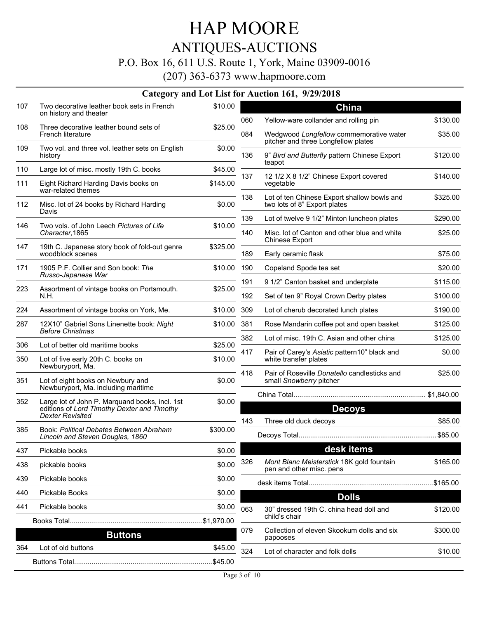## ANTIQUES-AUCTIONS

### P.O. Box 16, 611 U.S. Route 1, York, Maine 03909-0016

|     | <b>Category and Lot List for</b>                                                                                         |          |
|-----|--------------------------------------------------------------------------------------------------------------------------|----------|
| 107 | Two decorative leather book sets in French<br>on history and theater                                                     | \$10.00  |
| 108 | Three decorative leather bound sets of<br>French literature                                                              | \$25.00  |
| 109 | Two vol. and three vol. leather sets on English<br>history                                                               | \$0.00   |
| 110 | Large lot of misc. mostly 19th C. books                                                                                  | \$45.00  |
| 111 | Eight Richard Harding Davis books on<br>war-related themes                                                               | \$145.00 |
| 112 | Misc. lot of 24 books by Richard Harding<br>Davis                                                                        | \$0.00   |
| 146 | Two vols. of John Leech Pictures of Life<br>Character, 1865                                                              | \$10.00  |
| 147 | 19th C. Japanese story book of fold-out genre<br>woodblock scenes                                                        | \$325.00 |
| 171 | 1905 P.F. Collier and Son book: The<br>Russo-Japanese War                                                                | \$10.00  |
| 223 | Assortment of vintage books on Portsmouth.<br>N.H.                                                                       | \$25.00  |
| 224 | Assortment of vintage books on York, Me.                                                                                 | \$10.00  |
| 287 | 12X10" Gabriel Sons Linenette book: Night<br><b>Before Christmas</b>                                                     | \$10.00  |
| 306 | Lot of better old maritime books                                                                                         | \$25.00  |
| 350 | Lot of five early 20th C. books on<br>Newburyport, Ma.                                                                   | \$10.00  |
| 351 | Lot of eight books on Newbury and<br>Newburyport, Ma. including maritime                                                 | \$0.00   |
| 352 | Large lot of John P. Marguand books, incl. 1st<br>editions of Lord Timothy Dexter and Timothy<br><b>Dexter Revisited</b> | \$0.00   |
| 385 | <b>Book: Political Debates Between Abraham</b><br>Lincoln and Steven Douglas, 1860                                       | \$300.00 |
| 437 | Pickable books                                                                                                           | \$0.00   |
| 438 | pickable books                                                                                                           | \$0.00   |
| 439 | Pickable books                                                                                                           | \$0.00   |
| 440 | <b>Pickable Books</b>                                                                                                    | \$0.00   |
| 441 | Pickable books                                                                                                           | \$0.00   |
|     | Books Total                                                                                                              |          |
|     | <b>Buttons</b>                                                                                                           |          |
| 364 | Lot of old buttons                                                                                                       | \$45.00  |
|     |                                                                                                                          |          |

|  |  | Category and Lot List for Auction 161, 9/29/2018 |
|--|--|--------------------------------------------------|
|  |  |                                                  |

| 060 | <b>China</b><br>Yellow-ware collander and rolling pin                       | \$130.00 |
|-----|-----------------------------------------------------------------------------|----------|
| 084 | Wedgwood Longfellow commemorative water                                     | \$35.00  |
|     | pitcher and three Longfellow plates                                         |          |
| 136 | 9" Bird and Butterfly pattern Chinese Export<br>teapot                      | \$120.00 |
| 137 | 12 1/2 X 8 1/2" Chinese Export covered<br>vegetable                         | \$140.00 |
| 138 | Lot of ten Chinese Export shallow bowls and<br>two lots of 8" Export plates | \$325.00 |
| 139 | Lot of twelve 9 1/2" Minton luncheon plates                                 | \$290.00 |
| 140 | Misc. lot of Canton and other blue and white<br><b>Chinese Export</b>       | \$25.00  |
| 189 | Early ceramic flask                                                         | \$75.00  |
| 190 | Copeland Spode tea set                                                      | \$20.00  |
| 191 | 9 1/2" Canton basket and underplate                                         | \$115.00 |
| 192 | Set of ten 9" Royal Crown Derby plates                                      | \$100.00 |
| 309 | Lot of cherub decorated lunch plates                                        | \$190.00 |
| 381 | Rose Mandarin coffee pot and open basket                                    | \$125.00 |
| 382 | Lot of misc. 19th C. Asian and other china                                  | \$125.00 |
| 417 | Pair of Carey's Asiatic pattern10" black and<br>white transfer plates       | \$0.00   |
| 418 | Pair of Roseville Donatello candlesticks and<br>small Snowberry pitcher     | \$25.00  |
|     | China Total                                                                 |          |
|     | <b>Decoys</b>                                                               |          |
| 143 | Three old duck decoys                                                       | \$85.00  |
|     | Decoys Total                                                                | \$85.00  |
|     | desk items                                                                  |          |
| 326 | Mont Blanc Meisterstick 18K gold fountain<br>pen and other misc. pens       | \$165.00 |
|     | desk items Total                                                            |          |
|     | <b>Dolls</b>                                                                |          |
| 063 | 30" dressed 19th C. china head doll and<br>child's chair                    | \$120.00 |
| 079 | Collection of eleven Skookum dolls and six<br>papooses                      | \$300.00 |
| 324 | Lot of character and folk dolls                                             | \$10.00  |
|     |                                                                             |          |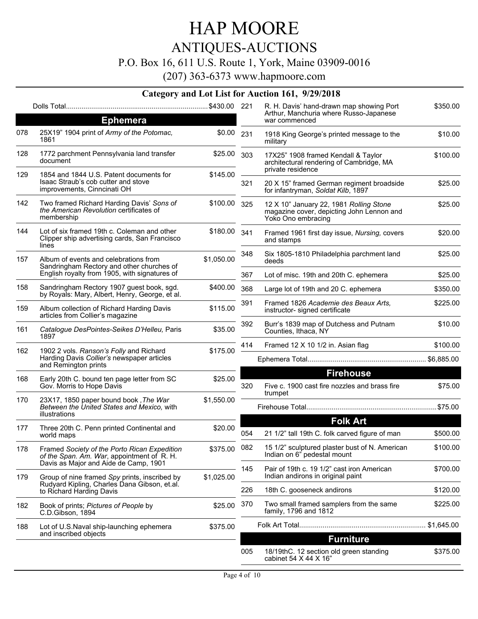## HAP MOORE ANTIQUES-AUCTIONS

### P.O. Box 16, 611 U.S. Route 1, York, Maine 03909-0016

(207) 363-6373 www.hapmoore.com

|     |                                                                                                               |            |     | R. H. Davis' hand-drawn map showing Port                                                                   | \$350.00 |
|-----|---------------------------------------------------------------------------------------------------------------|------------|-----|------------------------------------------------------------------------------------------------------------|----------|
|     | <b>Ephemera</b>                                                                                               |            |     | Arthur, Manchuria where Russo-Japanese<br>war commenced                                                    |          |
| 078 | 25X19" 1904 print of Army of the Potomac,<br>1861                                                             | \$0.00     | 231 | 1918 King George's printed message to the<br>military                                                      | \$10.00  |
| 128 | 1772 parchment Pennsylvania land transfer<br>document                                                         | \$25.00    | 303 | 17X25" 1908 framed Kendall & Taylor<br>architectural rendering of Cambridge, MA                            | \$100.00 |
| 129 | 1854 and 1844 U.S. Patent documents for<br>Isaac Straub's cob cutter and stove<br>improvements, Cinncinati OH | \$145.00   | 321 | private residence<br>20 X 15" framed German regiment broadside<br>for infantryman, Soldat Kilb, 1897       | \$25.00  |
| 142 | Two framed Richard Harding Davis' Sons of<br>the American Revolution certificates of<br>membership            | \$100.00   | 325 | 12 X 10" January 22, 1981 Rolling Stone<br>magazine cover, depicting John Lennon and<br>Yoko Ono embracing | \$25.00  |
| 144 | Lot of six framed 19th c. Coleman and other<br>Clipper ship advertising cards, San Francisco<br>lines         | \$180.00   | 341 | Framed 1961 first day issue, Nursing, covers<br>and stamps                                                 | \$20.00  |
| 157 | Album of events and celebrations from<br>Sandringham Rectory and other churches of                            | \$1,050.00 | 348 | Six 1805-1810 Philadelphia parchment land<br>deeds                                                         | \$25.00  |
|     | English royalty from 1905, with signatures of                                                                 |            | 367 | Lot of misc. 19th and 20th C. ephemera                                                                     | \$25.00  |
| 158 | Sandringham Rectory 1907 guest book, sgd.<br>by Royals: Mary, Albert, Henry, George, et al.                   | \$400.00   | 368 | Large lot of 19th and 20 C. ephemera                                                                       | \$350.00 |
| 159 | Album collection of Richard Harding Davis<br>articles from Collier's magazine                                 | \$115.00   | 391 | Framed 1826 Academie des Beaux Arts.<br>instructor- signed certificate                                     | \$225.00 |
| 161 | Catalogue DesPointes-Seikes D'Helleu, Paris<br>1897                                                           | \$35.00    | 392 | Burr's 1839 map of Dutchess and Putnam<br>Counties, Ithaca, NY                                             | \$10.00  |
| 162 | 1902 2 vols. Ranson's Folly and Richard                                                                       | \$175.00   | 414 | Framed 12 X 10 1/2 in. Asian flag                                                                          | \$100.00 |
|     | Harding Davis Collier's newspaper articles<br>and Remington prints                                            |            |     |                                                                                                            |          |
| 168 | Early 20th C. bound ten page letter from SC<br>Gov. Morris to Hope Davis                                      | \$25.00    | 320 | <b>Firehouse</b><br>Five c. 1900 cast fire nozzles and brass fire                                          | \$75.00  |
| 170 | 23X17, 1850 paper bound book, The War<br>Between the United States and Mexico, with                           | \$1,550.00 |     | trumpet                                                                                                    |          |
|     | illustrations                                                                                                 |            |     | <b>Folk Art</b>                                                                                            |          |
| 177 | Three 20th C. Penn printed Continental and<br>world maps                                                      | \$20.00    | 054 | 21 1/2" tall 19th C. folk carved figure of man                                                             | \$500.00 |
| 178 | Framed Society of the Porto Rican Expedition<br>of the Span. Am. War, appointment of R. H.                    | \$375.00   | 082 | 15 1/2" sculptured plaster bust of N. American<br>Indian on 6" pedestal mount                              | \$100.00 |
| 179 | Davis as Major and Aide de Camp, 1901<br>Group of nine framed Spy prints, inscribed by                        | \$1,025.00 | 145 | Pair of 19th c. 19 1/2" cast iron American<br>Indian andirons in original paint                            | \$700.00 |
|     | Rudyard Kipling, Charles Dana Gibson, et.al.<br>to Richard Harding Davis                                      |            | 226 | 18th C. gooseneck andirons                                                                                 | \$120.00 |
| 182 | Book of prints; Pictures of People by<br>C.D.Gibson, 1894                                                     | \$25.00    | 370 | Two small framed samplers from the same<br>family, 1796 and 1812                                           | \$225.00 |
| 188 | Lot of U.S.Naval ship-launching ephemera                                                                      | \$375.00   |     |                                                                                                            |          |
|     | and inscribed objects                                                                                         |            |     | <b>Furniture</b>                                                                                           |          |
|     |                                                                                                               |            | 005 | 18/19thC. 12 section old green standing<br>cabinet 54 X 44 X 16"                                           | \$375.00 |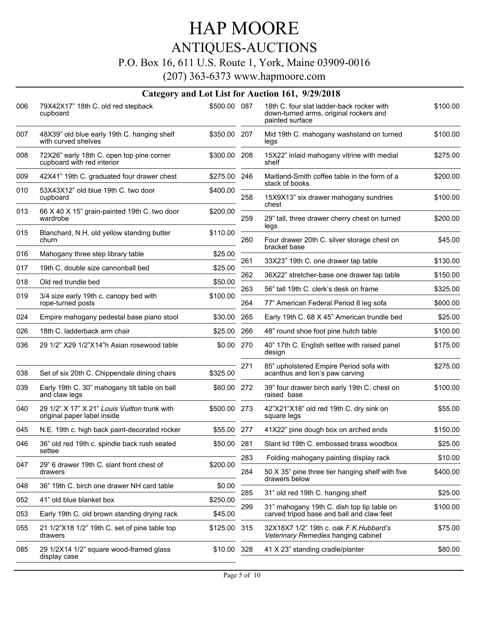## ANTIQUES-AUCTIONS

### P.O. Box 16, 611 U.S. Route 1, York, Maine 03909-0016

|     |                                                                             |              |            | Category and Lot List for Auction 161, 9/29/2018                                                       |                      |
|-----|-----------------------------------------------------------------------------|--------------|------------|--------------------------------------------------------------------------------------------------------|----------------------|
| 006 | 79X42X17" 18th C. old red stepback<br>cupboard                              | \$500.00 087 |            | 18th C. four slat ladder-back rocker with<br>down-turned arms, original rockers and<br>painted surface | \$100.00             |
| 007 | 48X39" old blue early 19th C. hanging shelf<br>with curved shelves          | \$350.00 207 |            | Mid 19th C. mahogany washstand on turned<br>legs                                                       | \$100.00             |
| 008 | 72X26" early 18th C. open top pine corner<br>cupboard with red interior     | \$300.00 208 |            | 15X22" inlaid mahogany vitrine with medial<br>shelf                                                    | \$275.00             |
| 009 | 42X41" 19th C. graduated four drawer chest                                  | \$275.00     | 246        | Maitland-Smith coffee table in the form of a                                                           | \$200.00             |
| 010 | 53X43X12" old blue 19th C. two door<br>cupboard                             | \$400.00     | 258        | stack of books<br>15X9X13" six drawer mahogany sundries                                                | \$100.00             |
| 013 | 66 X 40 X 15" grain-painted 19th C. two door<br>wardrobe                    | \$200.00     | 259        | chest<br>29" tall, three drawer cherry chest on turned                                                 | \$200.00             |
| 015 | Blanchard, N.H. old yellow standing butter<br>churn                         | \$110.00     | 260        | legs<br>Four drawer 20th C. silver storage chest on                                                    | \$45.00              |
| 016 | Mahogany three step library table                                           | \$25.00      |            | bracket base                                                                                           |                      |
| 017 | 19th C. double size cannonball bed                                          | \$25.00      | 261        | 33X23" 19th C. one drawer tap table                                                                    | \$130.00             |
| 018 | Old red trundle bed                                                         | \$50.00      | 262        | 36X22" stretcher-base one drawer tap table                                                             | \$150.00             |
| 019 | 3/4 size early 19th c. canopy bed with<br>rope-turned posts                 | \$100.00     | 263<br>264 | 56" tall 19th C. clerk's desk on frame<br>77" American Federal Period 8 leg sofa                       | \$325.00<br>\$600.00 |
| 024 | Empire mahogany pedestal base piano stool                                   | \$30.00      | 265        | Early 19th C. 68 X 45" American trundle bed                                                            | \$25.00              |
| 026 | 18th C. ladderback arm chair                                                | \$25.00      | 266        | 48" round shoe foot pine hutch table                                                                   | \$100.00             |
| 036 | 29 1/2" X29 1/2"X14"h Asian rosewood table                                  | \$0.00       | 270        | 40" 17th C. English settee with raised panel<br>design                                                 | \$175.00             |
| 038 | Set of six 20th C. Chippendale dining chairs                                | \$325.00     | 271        | 85" upholstered Empire Period sofa with<br>acanthus and lion's paw carving                             | \$275.00             |
| 039 | Early 19th C. 30" mahogany tilt table on ball<br>and claw legs              | \$60.00      | 272        | 39" four drawer birch early 19th C. chest on<br>raised base                                            | \$100.00             |
| 040 | 29 1/2" X 17" X 21" Louis Vuitton trunk with<br>original paper label inside | \$500.00 273 |            | 42"X21"X18" old red 19th C. dry sink on<br>square legs                                                 | \$55.00              |
| 045 | N.E. 19th c. high back paint-decorated rocker                               | \$55.00 277  |            | 41X22" pine dough box on arched ends                                                                   | \$150.00             |
| 046 | 36" old red 19th c. spindle back rush seated<br>settee                      | \$50.00 281  |            | Slant lid 19th C. embossed brass woodbox                                                               | \$25.00              |
| 047 | 29" 6 drawer 19th C. slant front chest of                                   | \$200.00     | 283        | Folding mahogany painting display rack                                                                 | \$10.00              |
|     | drawers                                                                     |              | 284        | 50 X 35" pine three tier hanging shelf with five<br>drawers below                                      | \$400.00             |
| 048 | 36" 19th C. birch one drawer NH card table                                  | \$0.00       | 285        | 31" old red 19th C. hanging shelf                                                                      | \$25.00              |
| 052 | 41" old blue blanket box                                                    | \$250.00     | 299        | 31" mahogany 19th C. dish top tip table on                                                             | \$100.00             |
| 053 | Early 19th C. old brown standing drying rack                                | \$45.00      |            | carved tripod base and ball and claw feet                                                              |                      |
| 055 | 21 1/2"X18 1/2" 19th C. set of pine table top<br>drawers                    | \$125.00     | 315        | 32X18X7 1/2" 19th c. oak F.K. Hubbard's<br>Veterinary Remedies hanging cabinet                         | \$75.00              |
| 085 | 29 1/2X14 1/2" square wood-framed glass<br>display case                     | \$10.00 328  |            | 41 X 23" standing cradle/planter                                                                       | \$80.00              |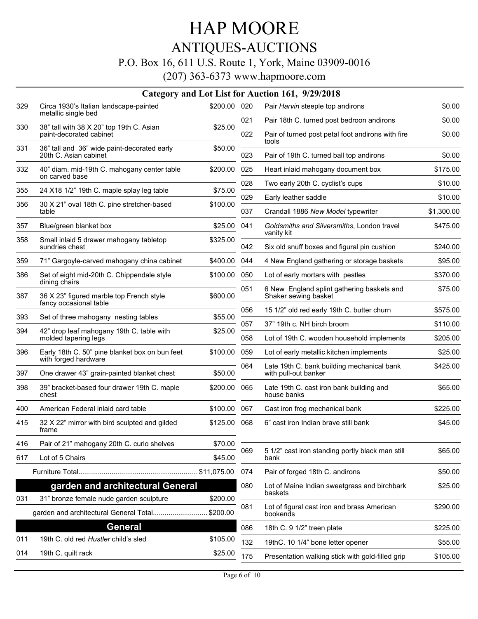### ANTIQUES-AUCTIONS

### P.O. Box 16, 611 U.S. Route 1, York, Maine 03909-0016

|     |                                                                        |              |     | Category and Lot List for Auction 161, 9/29/2018                   |            |
|-----|------------------------------------------------------------------------|--------------|-----|--------------------------------------------------------------------|------------|
| 329 | Circa 1930's Italian landscape-painted<br>metallic single bed          | \$200.00 020 |     | Pair Harvin steeple top andirons                                   | \$0.00     |
|     |                                                                        |              | 021 | Pair 18th C. turned post bedroon andirons                          | \$0.00     |
| 330 | 38" tall with 38 X 20" top 19th C. Asian<br>paint-decorated cabinet    | \$25.00      | 022 | Pair of turned post petal foot andirons with fire<br>tools         | \$0.00     |
| 331 | 36" tall and 36" wide paint-decorated early<br>20th C. Asian cabinet   | \$50.00      | 023 | Pair of 19th C. turned ball top andirons                           | \$0.00     |
| 332 | 40" diam. mid-19th C. mahogany center table<br>on carved base          | \$200.00     | 025 | Heart inlaid mahogany document box                                 | \$175.00   |
| 355 | 24 X18 1/2" 19th C. maple splay leg table                              | \$75.00      | 028 | Two early 20th C. cyclist's cups                                   | \$10.00    |
| 356 | 30 X 21" oval 18th C. pine stretcher-based                             | \$100.00     | 029 | Early leather saddle                                               | \$10.00    |
|     | table                                                                  |              | 037 | Crandall 1886 New Model typewriter                                 | \$1,300.00 |
| 357 | Blue/green blanket box                                                 | \$25.00      | 041 | Goldsmiths and Silversmiths, London travel<br>vanity kit           | \$475.00   |
| 358 | Small inlaid 5 drawer mahogany tabletop<br>sundries chest              | \$325.00     | 042 | Six old snuff boxes and figural pin cushion                        | \$240.00   |
| 359 | 71" Gargoyle-carved mahogany china cabinet                             | \$400.00     | 044 | 4 New England gathering or storage baskets                         | \$95.00    |
| 386 | Set of eight mid-20th C. Chippendale style                             | \$100.00     | 050 | Lot of early mortars with pestles                                  | \$370.00   |
| 387 | dining chairs<br>36 X 23" figured marble top French style              | \$600.00     | 051 | 6 New England splint gathering baskets and<br>Shaker sewing basket | \$75.00    |
|     | fancy occasional table                                                 |              | 056 | 15 1/2" old red early 19th C. butter churn                         | \$575.00   |
| 393 | Set of three mahogany nesting tables                                   | \$55.00      | 057 | 37" 19th c. NH birch broom                                         | \$110.00   |
| 394 | 42" drop leaf mahogany 19th C. table with<br>molded tapering legs      | \$25.00      | 058 | Lot of 19th C. wooden household implements                         | \$205.00   |
| 396 | Early 18th C. 50" pine blanket box on bun feet<br>with forged hardware | \$100.00     | 059 | Lot of early metallic kitchen implements                           | \$25.00    |
| 397 | One drawer 43" grain-painted blanket chest                             | \$50.00      | 064 | Late 19th C. bank building mechanical bank<br>with pull-out banker | \$425.00   |
| 398 | 39" bracket-based four drawer 19th C. maple<br>chest                   | \$200.00     | 065 | Late 19th C. cast iron bank building and<br>house banks            | \$65.00    |
| 400 | American Federal inlaid card table                                     | \$100.00     | 067 | Cast iron frog mechanical bank                                     | \$225.00   |
| 415 | 32 X 22" mirror with bird sculpted and gilded<br>frame                 | \$125.00     | 068 | 6" cast iron Indian brave still bank                               | \$45.00    |
| 416 | Pair of 21" mahogany 20th C. curio shelves                             | \$70.00      |     |                                                                    |            |
| 617 | Lot of 5 Chairs                                                        | \$45.00      | 069 | 5 1/2" cast iron standing portly black man still<br>bank           | \$65.00    |
|     |                                                                        |              | 074 | Pair of forged 18th C. andirons                                    | \$50.00    |
|     | garden and architectural General                                       |              | 080 | Lot of Maine Indian sweetgrass and birchbark<br>baskets            | \$25.00    |
| 031 | 31" bronze female nude garden sculpture                                | \$200.00     | 081 | Lot of figural cast iron and brass American                        | \$290.00   |
|     | garden and architectural General Total                                 | \$200.00     |     | bookends                                                           |            |
|     | General                                                                |              | 086 | 18th C. 9 1/2" treen plate                                         | \$225.00   |
| 011 | 19th C. old red Hustler child's sled                                   | \$105.00     | 132 | 19thC. 10 1/4" bone letter opener                                  | \$55.00    |
| 014 | 19th C. quilt rack                                                     | \$25.00      | 175 | Presentation walking stick with gold-filled grip                   | \$105.00   |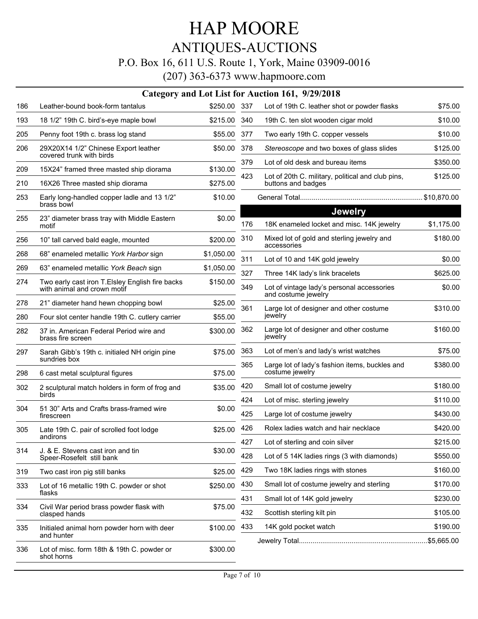### ANTIQUES-AUCTIONS

### P.O. Box 16, 611 U.S. Route 1, York, Maine 03909-0016

|     |                                                                                |              |     | Category and Lot List for Auction 161, 9/29/2018                        |            |
|-----|--------------------------------------------------------------------------------|--------------|-----|-------------------------------------------------------------------------|------------|
| 186 | Leather-bound book-form tantalus                                               | \$250.00 337 |     | Lot of 19th C. leather shot or powder flasks                            | \$75.00    |
| 193 | 18 1/2" 19th C. bird's-eye maple bowl                                          | \$215.00     | 340 | 19th C. ten slot wooden cigar mold                                      | \$10.00    |
| 205 | Penny foot 19th c. brass log stand                                             | \$55.00      | 377 | Two early 19th C. copper vessels                                        | \$10.00    |
| 206 | 29X20X14 1/2" Chinese Export leather<br>covered trunk with birds               | \$50.00      | 378 | Stereoscope and two boxes of glass slides                               | \$125.00   |
| 209 | 15X24" framed three masted ship diorama                                        | \$130.00     | 379 | Lot of old desk and bureau items                                        | \$350.00   |
| 210 | 16X26 Three masted ship diorama                                                | \$275.00     | 423 | Lot of 20th C. military, political and club pins,<br>buttons and badges | \$125.00   |
| 253 | Early long-handled copper ladle and 13 1/2"<br>brass bowl                      | \$10.00      |     |                                                                         |            |
| 255 | 23" diameter brass tray with Middle Eastern<br>motif                           | \$0.00       | 176 | <b>Jewelry</b><br>18K enameled locket and misc. 14K jewelry             | \$1,175.00 |
| 256 | 10" tall carved bald eagle, mounted                                            | \$200.00     | 310 | Mixed lot of gold and sterling jewelry and<br>accessories               | \$180.00   |
| 268 | 68" enameled metallic York Harbor sign                                         | \$1,050.00   | 311 | Lot of 10 and 14K gold jewelry                                          | \$0.00     |
| 269 | 63" enameled metallic York Beach sign                                          | \$1,050.00   | 327 | Three 14K lady's link bracelets                                         | \$625.00   |
| 274 | Two early cast iron T.Elsley English fire backs<br>with animal and crown motif | \$150.00     | 349 | Lot of vintage lady's personal accessories<br>and costume jewelry       | \$0.00     |
| 278 | 21" diameter hand hewn chopping bowl                                           | \$25.00      | 361 | Large lot of designer and other costume                                 | \$310.00   |
| 280 | Four slot center handle 19th C. cutlery carrier                                | \$55.00      |     | jewelry                                                                 |            |
| 282 | 37 in. American Federal Period wire and<br>brass fire screen                   | \$300.00     | 362 | Large lot of designer and other costume<br>jewelry                      | \$160.00   |
| 297 | Sarah Gibb's 19th c. initialed NH origin pine<br>sundries box                  | \$75.00      | 363 | Lot of men's and lady's wrist watches                                   | \$75.00    |
| 298 | 6 cast metal sculptural figures                                                | \$75.00      | 365 | Large lot of lady's fashion items, buckles and<br>costume jewelry       | \$380.00   |
| 302 | 2 sculptural match holders in form of frog and                                 | \$35.00      | 420 | Small lot of costume jewelry                                            | \$180.00   |
|     | birds                                                                          |              | 424 | Lot of misc. sterling jewelry                                           | \$110.00   |
| 304 | 51 30" Arts and Crafts brass-framed wire<br>firescreen                         | \$0.00       | 425 | Large lot of costume jewelry                                            | \$430.00   |
| 305 | Late 19th C. pair of scrolled foot lodge                                       | \$25.00      | 426 | Rolex ladies watch and hair necklace                                    | \$420.00   |
|     | andirons                                                                       |              | 427 | Lot of sterling and coin silver                                         | \$215.00   |
| 314 | J. & E. Stevens cast iron and tin<br>Speer-Rosefelt still bank                 | \$30.00      | 428 | Lot of 5 14K ladies rings (3 with diamonds)                             | \$550.00   |
| 319 | Two cast iron pig still banks                                                  | \$25.00      | 429 | Two 18K ladies rings with stones                                        | \$160.00   |
| 333 | Lot of 16 metallic 19th C. powder or shot                                      | \$250.00     | 430 | Small lot of costume jewelry and sterling                               | \$170.00   |
|     | flasks                                                                         |              | 431 | Small lot of 14K gold jewelry                                           | \$230.00   |
| 334 | Civil War period brass powder flask with<br>clasped hands                      | \$75.00      | 432 | Scottish sterling kilt pin                                              | \$105.00   |
| 335 | Initialed animal horn powder horn with deer                                    | \$100.00     | 433 | 14K gold pocket watch                                                   | \$190.00   |
|     | and hunter                                                                     |              |     |                                                                         |            |
| 336 | Lot of misc. form 18th & 19th C. powder or<br>shot horns                       | \$300.00     |     |                                                                         |            |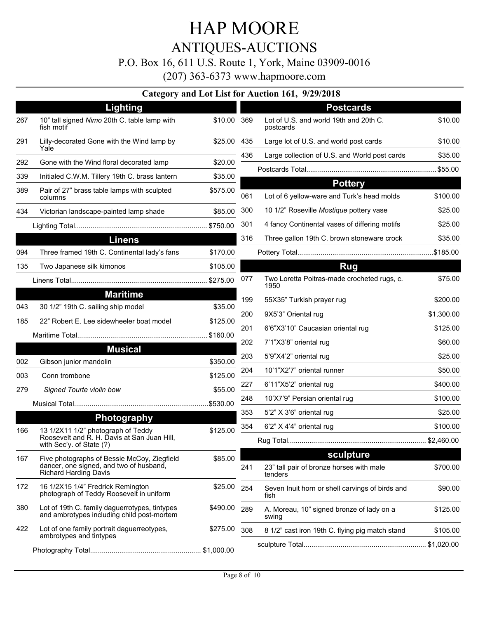### HAP MOORE ANTIQUES-AUCTIONS P.O. Box 16, 611 U.S. Route 1, York, Maine 03909-0016 (207) 363-6373 www.hapmoore.com

|     |                                                                                                                        |             |     | Category and Lot List for Auction 191, 7/27/2010                 |            |
|-----|------------------------------------------------------------------------------------------------------------------------|-------------|-----|------------------------------------------------------------------|------------|
|     | Lighting                                                                                                               |             |     | <b>Postcards</b>                                                 |            |
| 267 | 10" tall signed Nimo 20th C. table lamp with<br>fish motif                                                             | \$10.00 369 |     | Lot of U.S. and world 19th and 20th C.<br>postcards              | \$10.00    |
| 291 | Lilly-decorated Gone with the Wind lamp by<br>Yale                                                                     | \$25.00 435 |     | Large lot of U.S. and world post cards                           | \$10.00    |
| 292 | Gone with the Wind floral decorated lamp                                                                               | \$20.00     | 436 | Large collection of U.S. and World post cards                    | \$35.00    |
| 339 | Initialed C.W.M. Tillery 19th C. brass lantern                                                                         | \$35.00     |     |                                                                  | .\$55.00   |
| 389 | Pair of 27" brass table lamps with sculpted                                                                            | \$575.00    |     | <b>Pottery</b>                                                   |            |
|     | columns                                                                                                                |             | 061 | Lot of 6 yellow-ware and Turk's head molds                       | \$100.00   |
| 434 | Victorian landscape-painted lamp shade                                                                                 | \$85.00     | 300 | 10 1/2" Roseville Mostique pottery vase                          | \$25.00    |
|     |                                                                                                                        |             | 301 | 4 fancy Continental vases of differing motifs                    | \$25.00    |
|     | <b>Linens</b>                                                                                                          |             | 316 | Three gallon 19th C. brown stoneware crock                       | \$35.00    |
| 094 | Three framed 19th C. Continental lady's fans                                                                           | \$170.00    |     |                                                                  |            |
| 135 | Two Japanese silk kimonos                                                                                              | \$105.00    |     | <b>Rug</b>                                                       |            |
|     |                                                                                                                        |             | 077 | Two Loretta Poitras-made crocheted rugs, c.<br>1950              | \$75.00    |
|     | <b>Maritime</b>                                                                                                        |             | 199 | 55X35" Turkish prayer rug                                        | \$200.00   |
| 043 | 30 1/2" 19th C. sailing ship model                                                                                     | \$35.00     | 200 | 9X5'3" Oriental rug                                              | \$1,300.00 |
| 185 | 22" Robert E. Lee sidewheeler boat model                                                                               | \$125.00    | 201 | 6'6"X3'10" Caucasian oriental rug                                | \$125.00   |
|     |                                                                                                                        | \$160.00    | 202 | 7'1"X3'8" oriental rug                                           | \$60.00    |
|     | <b>Musical</b>                                                                                                         |             | 203 | 5'9"X4'2" oriental rug                                           | \$25.00    |
| 002 | Gibson junior mandolin                                                                                                 | \$350.00    | 204 | 10'1"X2'7" oriental runner                                       | \$50.00    |
| 003 | Conn trombone                                                                                                          | \$125.00    | 227 | 6'11"X5'2" oriental rug                                          | \$400.00   |
| 279 | Signed Tourte violin bow                                                                                               | \$55.00     | 248 | 10'X7'9" Persian oriental rug                                    | \$100.00   |
|     |                                                                                                                        | \$530.00    | 353 | 5'2" X 3'6" oriental rug                                         | \$25.00    |
|     | <b>Photography</b>                                                                                                     |             |     |                                                                  |            |
| 166 | 13 1/2X11 1/2" photograph of Teddy<br>Roosevelt and R. H. Davis at San Juan Hill,<br>with Sec'y. of State (?)          | \$125.00    | 354 | 6'2" X 4'4" oriental rug                                         | \$100.00   |
| 167 | Five photographs of Bessie McCoy, Ziegfield<br>dancer, one signed, and two of husband,<br><b>Richard Harding Davis</b> | \$85.00     | 241 | sculpture<br>23" tall pair of bronze horses with male<br>tenders | \$700.00   |
| 172 | 16 1/2X15 1/4" Fredrick Remington<br>photograph of Teddy Roosevelt in uniform                                          | \$25.00     | 254 | Seven Inuit horn or shell carvings of birds and<br>fish          | \$90.00    |
| 380 | Lot of 19th C. family daguerrotypes, tintypes<br>and ambrotypes including child post-mortem                            | \$490.00    | 289 | A. Moreau, 10" signed bronze of lady on a<br>swing               | \$125.00   |
| 422 | Lot of one family portrait daguerreotypes,<br>ambrotypes and tintypes                                                  | \$275.00    | 308 | 8 1/2" cast iron 19th C. flying pig match stand                  | \$105.00   |
|     |                                                                                                                        |             |     |                                                                  |            |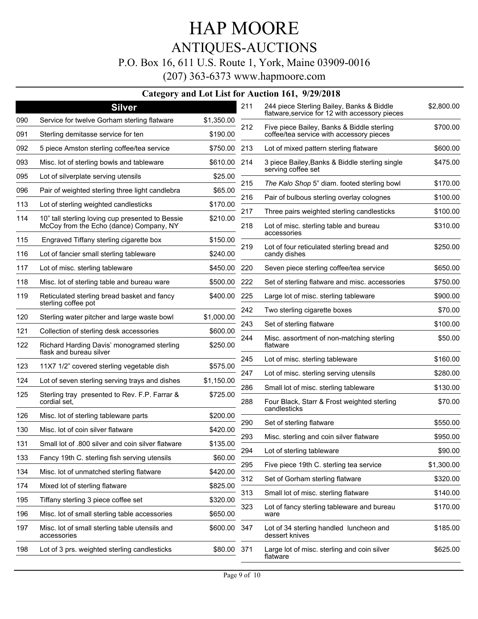## HAP MOORE ANTIQUES-AUCTIONS P.O. Box 16, 611 U.S. Route 1, York, Maine 03909-0016

(207) 363-6373 www.hapmoore.com

|            | <b>Silver</b>                                                                               |                        | 211        | 244 piece Sterling Bailey, Banks & Biddle<br>flatware, service for 12 with accessory pieces | \$2,800.00 |
|------------|---------------------------------------------------------------------------------------------|------------------------|------------|---------------------------------------------------------------------------------------------|------------|
| 090<br>091 | Service for twelve Gorham sterling flatware<br>Sterling demitasse service for ten           | \$1,350.00<br>\$190.00 | 212        | Five piece Bailey, Banks & Biddle sterling<br>coffee/tea service with accessory pieces      | \$700.00   |
| 092        | 5 piece Amston sterling coffee/tea service                                                  | \$750.00               | 213        | Lot of mixed pattern sterling flatware                                                      | \$600.00   |
| 093        | Misc. lot of sterling bowls and tableware                                                   | \$610.00               | 214        | 3 piece Bailey, Banks & Biddle sterling single                                              | \$475.00   |
| 095        | Lot of silverplate serving utensils                                                         | \$25.00                |            | serving coffee set                                                                          |            |
| 096        | Pair of weighted sterling three light candlebra                                             | \$65.00                | 215        | The Kalo Shop 5" diam. footed sterling bowl                                                 | \$170.00   |
| 113        | Lot of sterling weighted candlesticks                                                       | \$170.00               | 216        | Pair of bulbous sterling overlay colognes                                                   | \$100.00   |
| 114        | 10" tall sterling loving cup presented to Bessie<br>McCoy from the Echo (dance) Company, NY | \$210.00               | 217<br>218 | Three pairs weighted sterling candlesticks                                                  | \$100.00   |
|            |                                                                                             |                        |            | Lot of misc. sterling table and bureau<br>accessories                                       | \$310.00   |
| 115<br>116 | Engraved Tiffany sterling cigarette box<br>Lot of fancier small sterling tableware          | \$150.00<br>\$240.00   | 219        | Lot of four reticulated sterling bread and<br>candy dishes                                  | \$250.00   |
| 117        | Lot of misc. sterling tableware                                                             | \$450.00               | 220        | Seven piece sterling coffee/tea service                                                     | \$650.00   |
| 118        | Misc. lot of sterling table and bureau ware                                                 | \$500.00               | 222        | Set of sterling flatware and misc. accessories                                              | \$750.00   |
|            |                                                                                             |                        |            |                                                                                             |            |
| 119        | Reticulated sterling bread basket and fancy<br>sterling coffee pot                          | \$400.00               | 225        | Large lot of misc. sterling tableware                                                       | \$900.00   |
| 120        | Sterling water pitcher and large waste bowl                                                 | \$1,000.00             | 242        | Two sterling cigarette boxes                                                                | \$70.00    |
| 121        | Collection of sterling desk accessories                                                     | \$600.00               | 243        | Set of sterling flatware                                                                    | \$100.00   |
| 122        | Richard Harding Davis' monogramed sterling<br>flask and bureau silver                       | \$250.00               | 244        | Misc. assortment of non-matching sterling<br>flatware                                       | \$50.00    |
| 123        | 11X7 1/2" covered sterling vegetable dish                                                   | \$575.00               | 245        | Lot of misc. sterling tableware                                                             | \$160.00   |
|            |                                                                                             |                        | 247        | Lot of misc. sterling serving utensils                                                      | \$280.00   |
| 124        | Lot of seven sterling serving trays and dishes                                              | \$1,150.00             | 286        | Small lot of misc. sterling tableware                                                       | \$130.00   |
| 125        | Sterling tray presented to Rev. F.P. Farrar &<br>cordial set,                               | \$725.00               | 288        | Four Black, Starr & Frost weighted sterling<br>candlesticks                                 | \$70.00    |
| 126        | Misc. lot of sterling tableware parts                                                       | \$200.00               | 290        | Set of sterling flatware                                                                    | \$550.00   |
| 130        | Misc. lot of coin silver flatware                                                           | \$420.00               | 293        | Misc. sterling and coin silver flatware                                                     | \$950.00   |
| 131        | Small lot of .800 silver and coin silver flatware                                           | \$135.00               |            |                                                                                             |            |
| 133        | Fancy 19th C. sterling fish serving utensils                                                | \$60.00                | 294        | Lot of sterling tableware                                                                   | \$90.00    |
| 134        | Misc. lot of unmatched sterling flatware                                                    | \$420.00               | 295        | Five piece 19th C. sterling tea service                                                     | \$1,300.00 |
| 174        | Mixed lot of sterling flatware                                                              | \$825.00               | 312        | Set of Gorham sterling flatware                                                             | \$320.00   |
| 195        | Tiffany sterling 3 piece coffee set                                                         | \$320.00               | 313        | Small lot of misc. sterling flatware                                                        | \$140.00   |
| 196        | Misc. lot of small sterling table accessories                                               | \$650.00               | 323        | Lot of fancy sterling tableware and bureau<br>ware                                          | \$170.00   |
| 197        | Misc. lot of small sterling table utensils and<br>accessories                               | \$600.00               | 347        | Lot of 34 sterling handled luncheon and<br>dessert knives                                   | \$185.00   |
| 198        | Lot of 3 prs. weighted sterling candlesticks                                                | \$80.00 371            |            | Large lot of misc. sterling and coin silver<br>flatware                                     | \$625.00   |